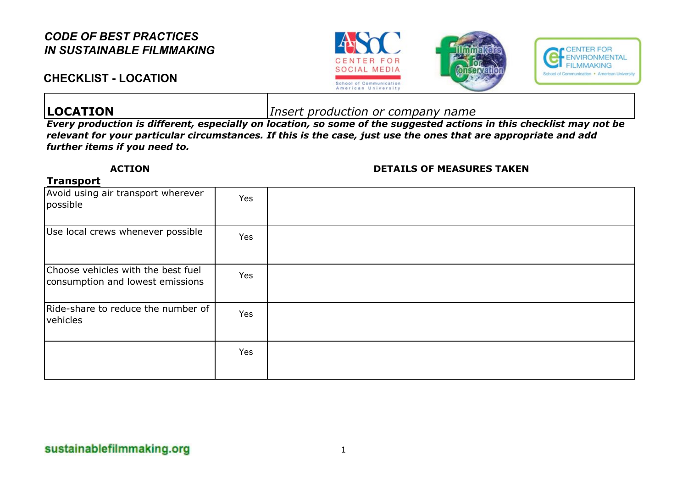### **CHECKLIST - LOCATION**







**LOCATION** *Insert production or company name*

*Every production is different, especially on location, so some of the suggested actions in this checklist may not be relevant for your particular circumstances. If this is the case, just use the ones that are appropriate and add further items if you need to.*

#### **ACTION DETAILS OF MEASURES TAKEN**

#### **Transport**

| Avoid using air transport wherever<br>possible                         | Yes |  |
|------------------------------------------------------------------------|-----|--|
| Use local crews whenever possible                                      | Yes |  |
| Choose vehicles with the best fuel<br>consumption and lowest emissions | Yes |  |
| Ride-share to reduce the number of<br>vehicles                         | Yes |  |
|                                                                        | Yes |  |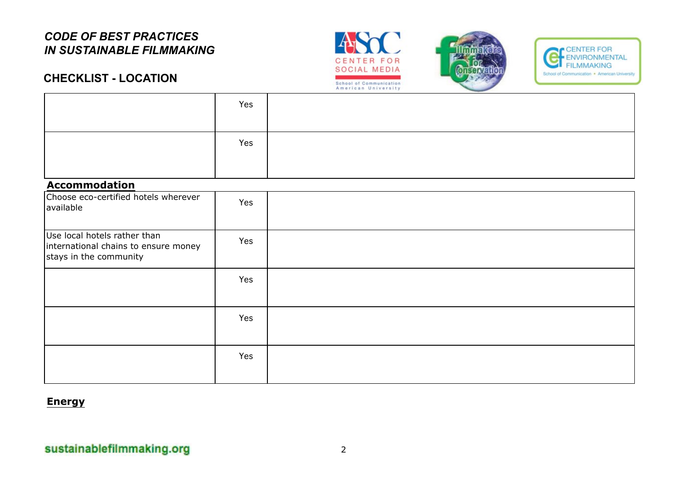





### **CHECKLIST - LOCATION**

| Yes |  |
|-----|--|
| Yes |  |
|     |  |

#### **Accommodation**

| Choose eco-certified hotels wherever<br>available                                              | Yes |  |
|------------------------------------------------------------------------------------------------|-----|--|
| Use local hotels rather than<br>international chains to ensure money<br>stays in the community | Yes |  |
|                                                                                                | Yes |  |
|                                                                                                | Yes |  |
|                                                                                                | Yes |  |

#### **Energy**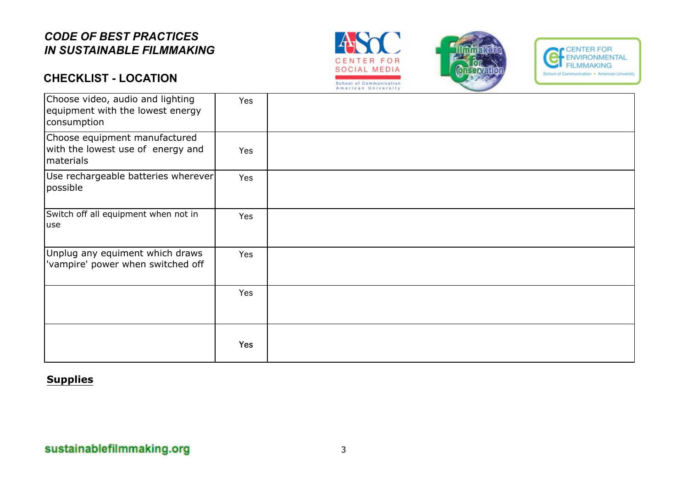# **CHECKLIST - LOCATION**







| Choose video, audio and lighting<br>equipment with the lowest energy<br>consumption | Yes |  |
|-------------------------------------------------------------------------------------|-----|--|
| Choose equipment manufactured<br>with the lowest use of energy and<br>materials     | Yes |  |
| Use rechargeable batteries wherever<br>possible                                     | Yes |  |
| Switch off all equipment when not in<br>luse                                        | Yes |  |
| Unplug any equiment which draws<br>'vampire' power when switched off                | Yes |  |
|                                                                                     | Yes |  |
|                                                                                     | Yes |  |

#### **Supplies**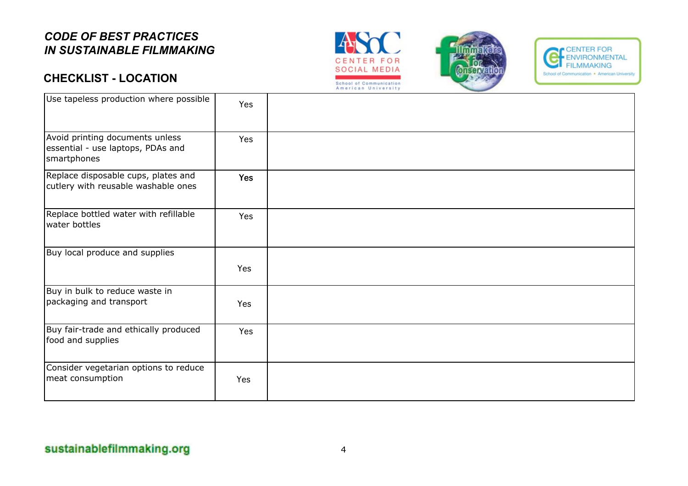# **CHECKLIST - LOCATION**







| Use tapeless production where possible                                              | Yes        |  |
|-------------------------------------------------------------------------------------|------------|--|
| Avoid printing documents unless<br>essential - use laptops, PDAs and<br>smartphones | Yes        |  |
| Replace disposable cups, plates and<br>cutlery with reusable washable ones          | <b>Yes</b> |  |
| Replace bottled water with refillable<br>water bottles                              | Yes        |  |
| Buy local produce and supplies                                                      | <b>Yes</b> |  |
| Buy in bulk to reduce waste in<br>packaging and transport                           | <b>Yes</b> |  |
| Buy fair-trade and ethically produced<br>food and supplies                          | Yes        |  |
| Consider vegetarian options to reduce<br>meat consumption                           | Yes        |  |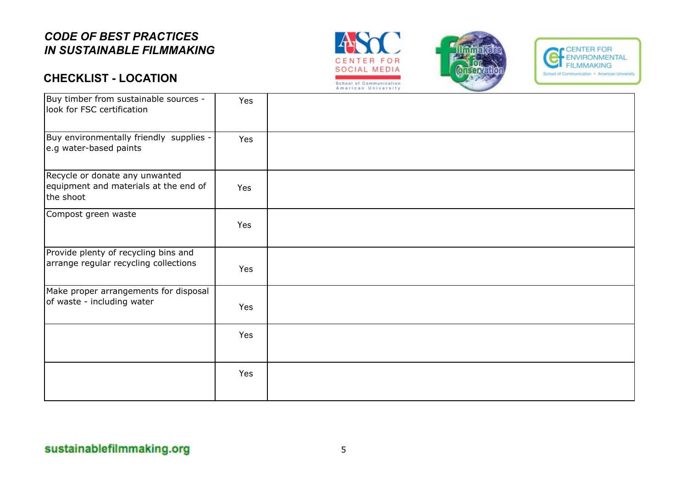# **CHECKLIST - LOCATION**







| Buy timber from sustainable sources -<br>look for FSC certification                  | Yes |  |
|--------------------------------------------------------------------------------------|-----|--|
| Buy environmentally friendly supplies -<br>e.g water-based paints                    | Yes |  |
| Recycle or donate any unwanted<br>equipment and materials at the end of<br>the shoot | Yes |  |
| Compost green waste                                                                  | Yes |  |
| Provide plenty of recycling bins and<br>arrange regular recycling collections        | Yes |  |
| Make proper arrangements for disposal<br>of waste - including water                  | Yes |  |
|                                                                                      | Yes |  |
|                                                                                      | Yes |  |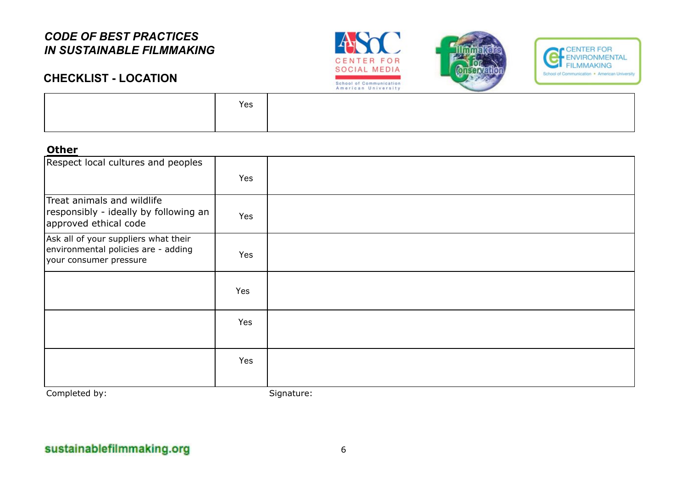**CHECKLIST - LOCATION**







| Yes |  |
|-----|--|
|     |  |

#### **Other**

| Respect local cultures and peoples                                                                    | Yes |            |
|-------------------------------------------------------------------------------------------------------|-----|------------|
| Treat animals and wildlife<br>responsibly - ideally by following an<br>approved ethical code          | Yes |            |
| Ask all of your suppliers what their<br>environmental policies are - adding<br>your consumer pressure | Yes |            |
|                                                                                                       | Yes |            |
|                                                                                                       | Yes |            |
|                                                                                                       | Yes |            |
| Completed by:                                                                                         |     | Signature: |